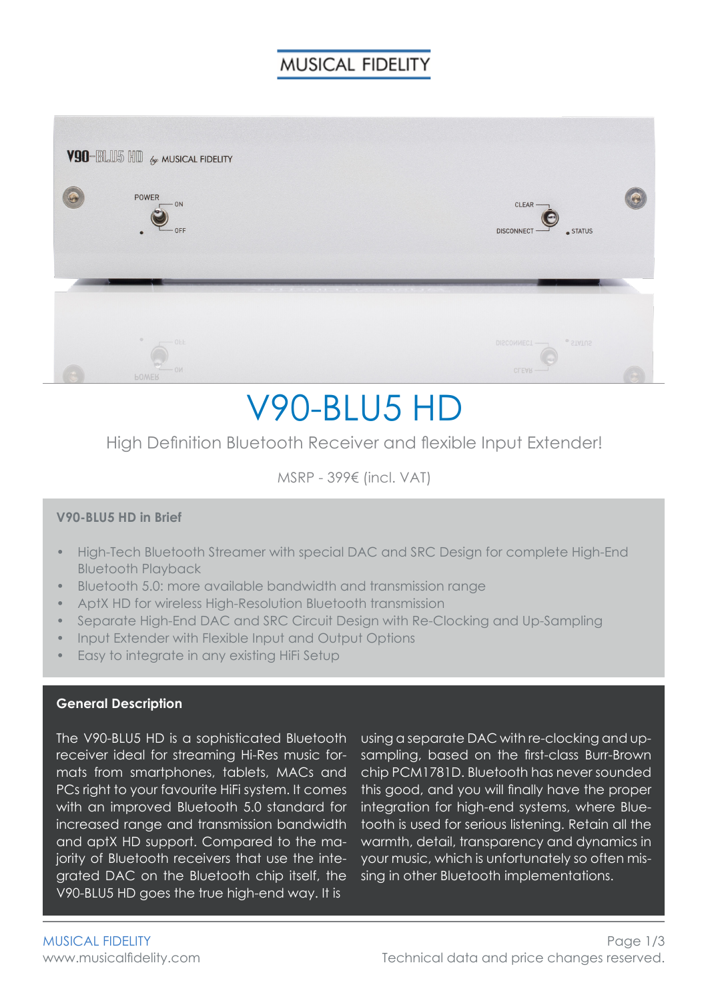## **MUSICAL FIDELITY**



# V90-BLU5 HD

### High Definition Bluetooth Receiver and flexible Input Extender!

MSRP - 399€ (incl. VAT)

#### **V90-BLU5 HD in Brief**

- High-Tech Bluetooth Streamer with special DAC and SRC Design for complete High-End Bluetooth Playback
- Bluetooth 5.0: more available bandwidth and transmission range
- AptX HD for wireless High-Resolution Bluetooth transmission
- Separate High-End DAC and SRC Circuit Design with Re-Clocking and Up-Sampling
- Input Extender with Flexible Input and Output Options
- Easy to integrate in any existing HiFi Setup

#### **General Description**

The V90-BLU5 HD is a sophisticated Bluetooth receiver ideal for streaming Hi-Res music formats from smartphones, tablets, MACs and PCs right to your favourite HiFi system. It comes with an improved Bluetooth 5.0 standard for increased range and transmission bandwidth and aptX HD support. Compared to the majority of Bluetooth receivers that use the integrated DAC on the Bluetooth chip itself, the V90-BLU5 HD goes the true high-end way. It is

using a separate DAC with re-clocking and upsampling, based on the first-class Burr-Brown chip PCM1781D. Bluetooth has never sounded this good, and you will finally have the proper integration for high-end systems, where Bluetooth is used for serious listening. Retain all the warmth, detail, transparency and dynamics in your music, which is unfortunately so often missing in other Bluetooth implementations.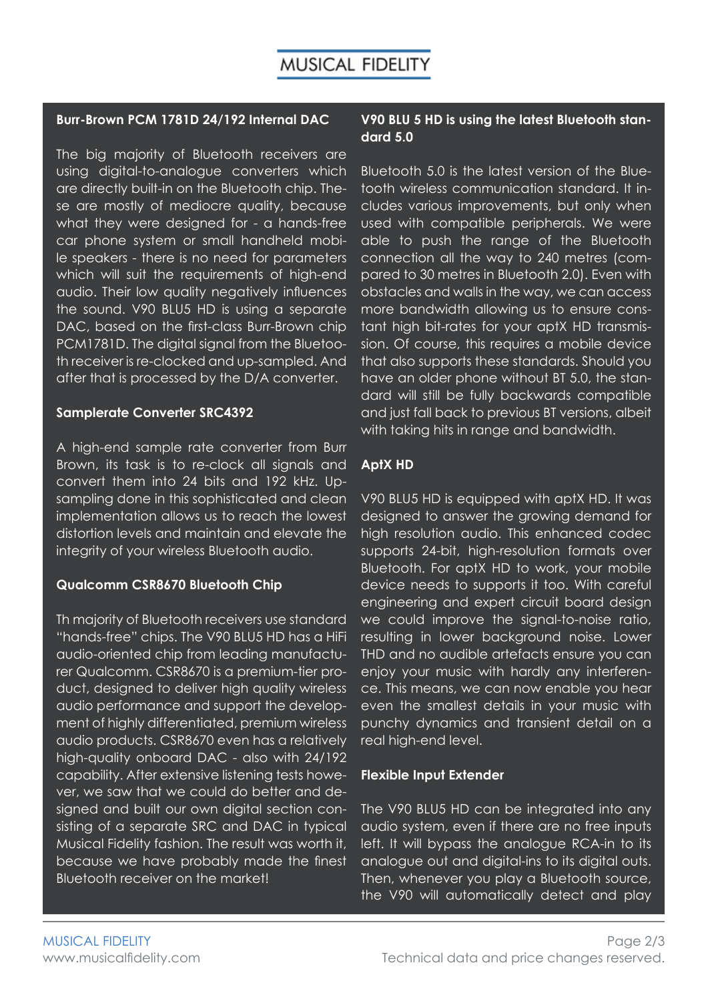#### **Burr-Brown PCM 1781D 24/192 Internal DAC**

The big majority of Bluetooth receivers are using digital-to-analogue converters which are directly built-in on the Bluetooth chip. These are mostly of mediocre quality, because what they were designed for - a hands-free car phone system or small handheld mobile speakers - there is no need for parameters which will suit the requirements of high-end audio. Their low quality negatively influences the sound. V90 BLU5 HD is using a separate DAC, based on the first-class Burr-Brown chip PCM1781D. The digital signal from the Bluetooth receiver is re-clocked and up-sampled. And after that is processed by the D/A converter.

#### **Samplerate Converter SRC4392**

A high-end sample rate converter from Burr Brown, its task is to re-clock all signals and convert them into 24 bits and 192 kHz. Upsampling done in this sophisticated and clean implementation allows us to reach the lowest distortion levels and maintain and elevate the integrity of your wireless Bluetooth audio.

#### **Qualcomm CSR8670 Bluetooth Chip**

Th majority of Bluetooth receivers use standard "hands-free" chips. The V90 BLU5 HD has a HiFi audio-oriented chip from leading manufacturer Qualcomm. CSR8670 is a premium-tier product, designed to deliver high quality wireless audio performance and support the development of highly differentiated, premium wireless audio products. CSR8670 even has a relatively high-quality onboard DAC - also with 24/192 capability. After extensive listening tests however, we saw that we could do better and designed and built our own digital section consisting of a separate SRC and DAC in typical Musical Fidelity fashion. The result was worth it, because we have probably made the finest Bluetooth receiver on the market!

#### **V90 BLU 5 HD is using the latest Bluetooth standard 5.0**

Bluetooth 5.0 is the latest version of the Bluetooth wireless communication standard. It includes various improvements, but only when used with compatible peripherals. We were able to push the range of the Bluetooth connection all the way to 240 metres (compared to 30 metres in Bluetooth 2.0). Even with obstacles and walls in the way, we can access more bandwidth allowing us to ensure constant high bit-rates for your aptX HD transmission. Of course, this requires a mobile device that also supports these standards. Should you have an older phone without BT 5.0, the standard will still be fully backwards compatible and just fall back to previous BT versions, albeit with taking hits in range and bandwidth.

#### **AptX HD**

V90 BLU5 HD is equipped with aptX HD. It was designed to answer the growing demand for high resolution audio. This enhanced codec supports 24-bit, high-resolution formats over Bluetooth. For aptX HD to work, your mobile device needs to supports it too. With careful engineering and expert circuit board design we could improve the signal-to-noise ratio, resulting in lower background noise. Lower THD and no audible artefacts ensure you can enjoy your music with hardly any interference. This means, we can now enable you hear even the smallest details in your music with punchy dynamics and transient detail on a real high-end level.

#### **Flexible Input Extender**

The V90 BLU5 HD can be integrated into any audio system, even if there are no free inputs left. It will bypass the analogue RCA-in to its analogue out and digital-ins to its digital outs. Then, whenever you play a Bluetooth source, the V90 will automatically detect and play